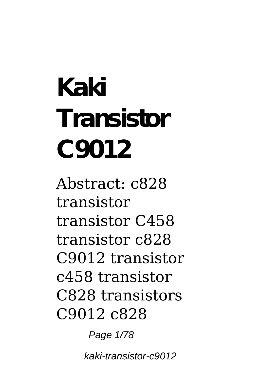**Kaki Transistor C9012**

Abstract: c828 transistor transistor C458 transistor c828 C9012 transistor c458 transistor C828 transistors C9012 c828

Page 1/78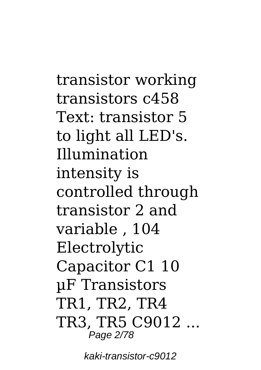transistor working transistors c458 Text: transistor 5 to light all LED's. Illumination intensity is controlled through transistor 2 and variable , 104 Electrolytic Capacitor C1 10 µF Transistors TR1, TR2, TR4 TR3, TR5 C9012 ... Page 2/78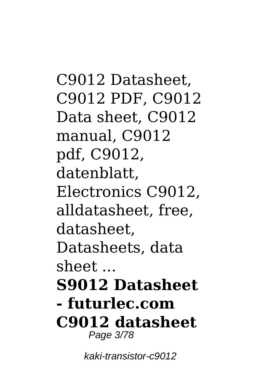C9012 Datasheet, C9012 PDF, C9012 Data sheet, C9012 manual, C9012 pdf, C9012, datenblatt, Electronics C9012, alldatasheet, free, datasheet, Datasheets, data sheet ... **S9012 Datasheet - futurlec.com C9012 datasheet** Page 3/78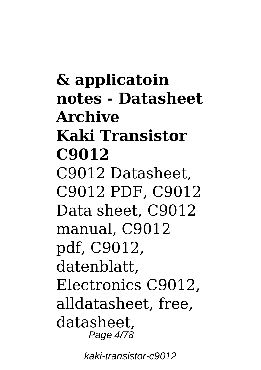**& applicatoin notes - Datasheet Archive Kaki Transistor C9012** C9012 Datasheet, C9012 PDF, C9012 Data sheet, C9012 manual, C9012 pdf, C9012, datenblatt, Electronics C9012, alldatasheet, free, datasheet, Page 4/78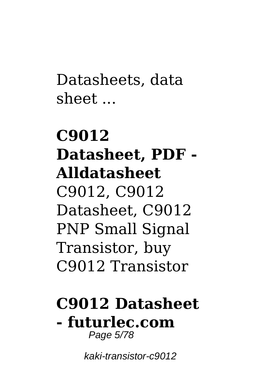Datasheets, data sheet ...

# **C9012 Datasheet, PDF - Alldatasheet** C9012, C9012 Datasheet, C9012 PNP Small Signal Transistor, buy C9012 Transistor

### **C9012 Datasheet - futurlec.com** Page 5/78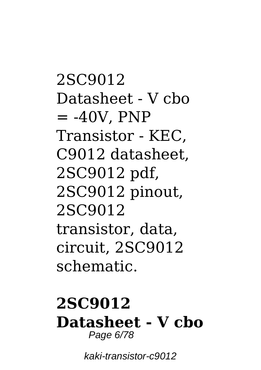2SC9012 Datasheet - V cbo  $=$  -40V, PNP Transistor - KEC, C9012 datasheet, 2SC9012 pdf, 2SC9012 pinout, 2SC9012 transistor, data, circuit, 2SC9012 schematic.

### **2SC9012 Datasheet - V cbo** Page 6/78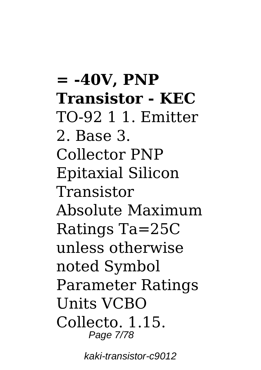**= -40V, PNP Transistor - KEC** TO-92 1 1. Emitter 2. Base 3. Collector PNP Epitaxial Silicon Transistor Absolute Maximum Ratings Ta=25C unless otherwise noted Symbol Parameter Ratings Units VCBO Collecto. 1.15. Page 7/78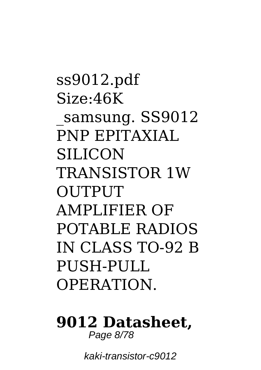ss9012.pdf Size:46K \_samsung. SS9012 PNP EPITAXIAL **SILICON** TRANSISTOR 1W **OUTPUT** AMPLIFIER OF POTABLE RADIOS IN CLASS TO-92 B PUSH-PULL **OPERATION** 

#### **9012 Datasheet,** Page 8/78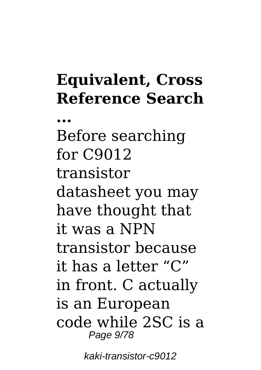# **Equivalent, Cross Reference Search**

**...**

Before searching for C9012 transistor datasheet you may have thought that it was a NPN transistor because it has a letter "C" in front. C actually is an European code while 2SC is a Page 9/78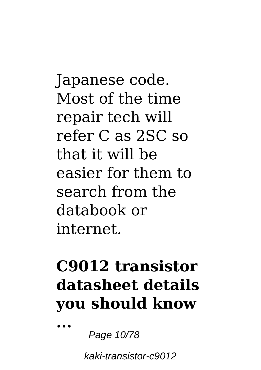Japanese code. Most of the time repair tech will refer C as 2SC so that it will be easier for them to search from the databook or internet.

# **C9012 transistor datasheet details you should know**

**...**

Page 10/78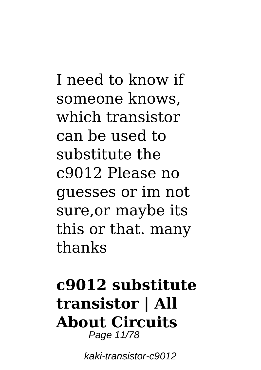I need to know if someone knows, which transistor can be used to substitute the c9012 Please no guesses or im not sure,or maybe its this or that. many thanks

## **c9012 substitute transistor | All About Circuits** Page 11/78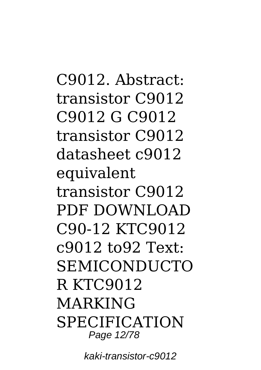C9012. Abstract: transistor C9012 C9012 G C9012 transistor C9012 datasheet c9012 equivalent transistor C9012 PDF DOWNLOAD C90-12 KTC9012 c9012 to92 Text: **SEMICONDUCTO** R KTC9012 MARKING **SPECIFICATION** Page 12/78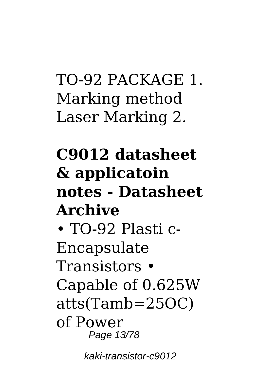# TO-92 PACKAGE 1. Marking method Laser Marking 2.

# **C9012 datasheet & applicatoin notes - Datasheet Archive**

• TO-92 Plasti c-Encapsulate Transistors • Capable of 0.625W atts(Tamb=25OC) of Power Page 13/78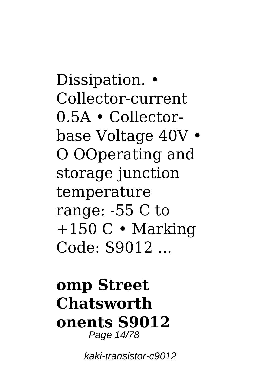Dissipation. • Collector-current 0.5A • Collectorbase Voltage 40V • O OOperating and storage junction temperature range: -55 C to  $+150$  C  $\cdot$  Marking Code: S9012 ...

## **omp Street Chatsworth onents S9012** Page 14/78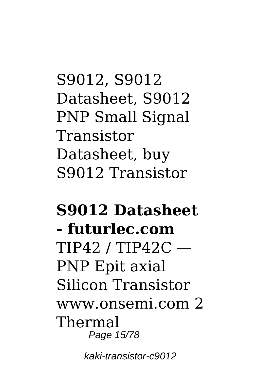S9012, S9012 Datasheet, S9012 PNP Small Signal Transistor Datasheet, buy S9012 Transistor

## **S9012 Datasheet - futurlec.com**  $TIP42 / TIP42C -$ PNP Epit axial Silicon Transistor www.onsemi.com 2 Thermal Page 15/78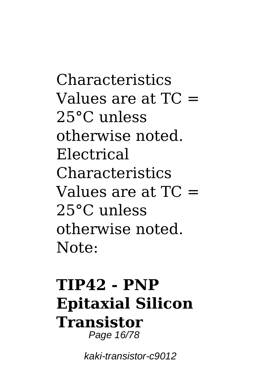Characteristics Values are at  $TC =$ 25°C unless otherwise noted. Electrical Characteristics Values are at  $TC =$ 25°C unless otherwise noted. Note:

## **TIP42 - PNP Epitaxial Silicon Transistor** Page 16/78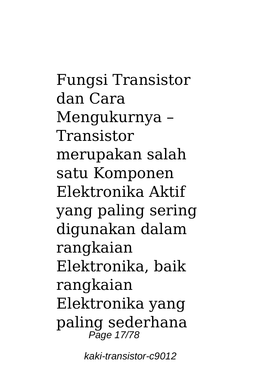Fungsi Transistor dan Cara Mengukurnya – Transistor merupakan salah satu Komponen Elektronika Aktif yang paling sering digunakan dalam rangkaian Elektronika, baik rangkaian Elektronika yang paling sederhana Page 17/78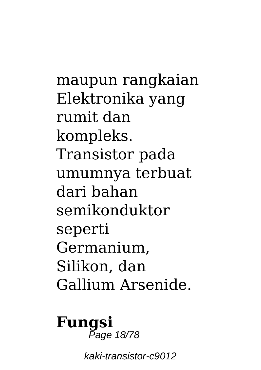maupun rangkaian Elektronika yang rumit dan kompleks. Transistor pada umumnya terbuat dari bahan semikonduktor seperti Germanium, Silikon, dan Gallium Arsenide.

#### **Fungsi** Page 18/78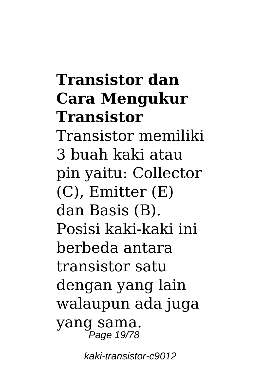# **Transistor dan Cara Mengukur Transistor**

Transistor memiliki 3 buah kaki atau pin yaitu: Collector (C), Emitter (E) dan Basis (B). Posisi kaki-kaki ini berbeda antara transistor satu dengan yang lain walaupun ada juga yang sama. Page 19/78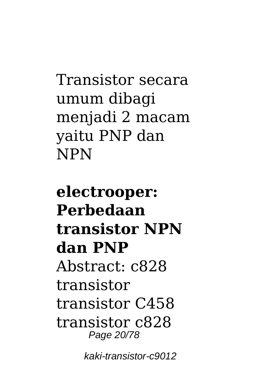Transistor secara umum dibagi menjadi 2 macam yaitu PNP dan NPN

**electrooper: Perbedaan transistor NPN dan PNP** Abstract: c828 transistor transistor C458 transistor c828 Page 20/78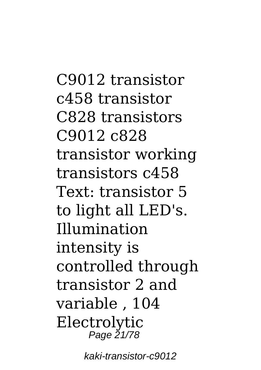C9012 transistor c458 transistor C828 transistors C9012 c828 transistor working transistors c458 Text: transistor 5 to light all LED's. Illumination intensity is controlled through transistor 2 and variable , 104 Electrolytic Page 21/78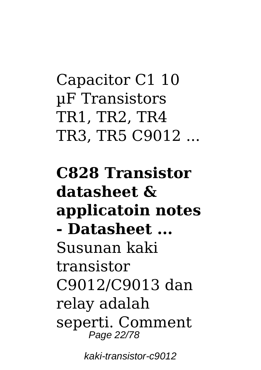Capacitor C1 10 µF Transistors TR1, TR2, TR4 TR3, TR5 C9012 ...

**C828 Transistor datasheet & applicatoin notes - Datasheet ...** Susunan kaki transistor C9012/C9013 dan relay adalah seperti. Comment Page 22/78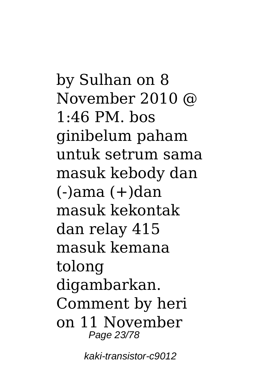by Sulhan on 8 November 2010 @ 1:46 PM. bos ginibelum paham untuk setrum sama masuk kebody dan  $(-)$ ama  $(+)$ dan masuk kekontak dan relay 415 masuk kemana tolong digambarkan. Comment by heri on 11 November Page 23/78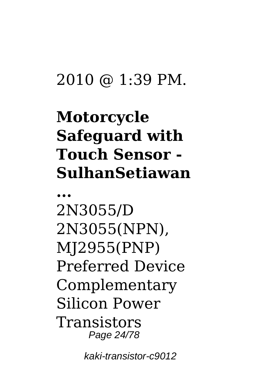## 2010 @ 1:39 PM.

# **Motorcycle Safeguard with Touch Sensor - SulhanSetiawan**

**...**

2N3055/D 2N3055(NPN), MJ2955(PNP) Preferred Device Complementary Silicon Power **Transistors** Page 24/78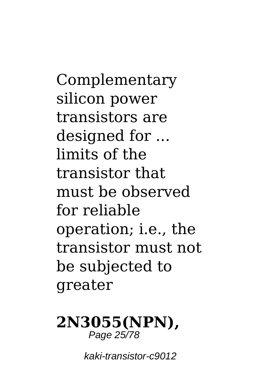Complementary silicon power transistors are designed for ... limits of the transistor that must be observed for reliable operation; i.e., the transistor must not be subjected to greater

#### **2N3055(NPN),** Page 25/78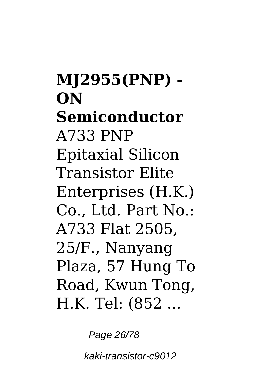**MJ2955(PNP) - ON Semiconductor** A733 PNP Epitaxial Silicon Transistor Elite Enterprises (H.K.) Co., Ltd. Part No.: A733 Flat 2505, 25/F., Nanyang Plaza, 57 Hung To Road, Kwun Tong, H.K. Tel: (852 ...

Page 26/78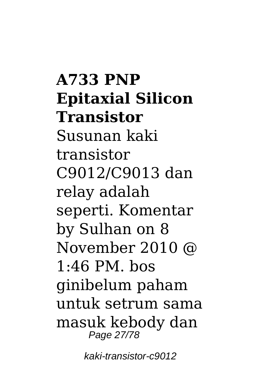**A733 PNP Epitaxial Silicon Transistor** Susunan kaki transistor C9012/C9013 dan relay adalah seperti. Komentar by Sulhan on 8 November 2010 @  $1.46$  PM bos ginibelum paham untuk setrum sama masuk kebody dan Page 27/78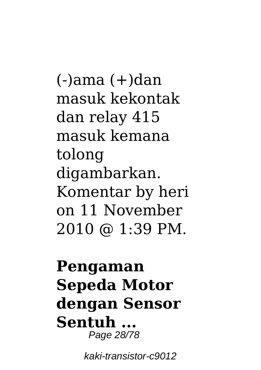$(-)$ ama  $(+)$ dan masuk kekontak dan relay 415 masuk kemana tolong digambarkan. Komentar by heri on 11 November 2010 @ 1:39 PM.

## **Pengaman Sepeda Motor dengan Sensor Sentuh ...** Page 28/78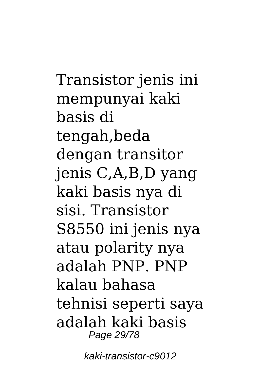Transistor jenis ini mempunyai kaki basis di tengah,beda dengan transitor jenis C,A,B,D yang kaki basis nya di sisi. Transistor S8550 ini jenis nya atau polarity nya adalah PNP. PNP kalau bahasa tehnisi seperti saya adalah kaki basis Page 29/78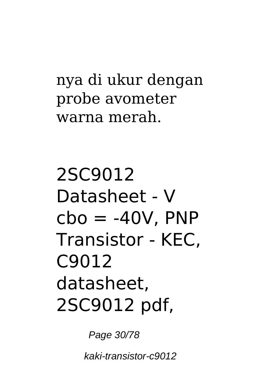## nya di ukur dengan probe avometer warna merah.

2SC9012 Datasheet - V  $cbo = -40V$ . PNP Transistor - KEC, C9012 datasheet, 2SC9012 pdf,

Page 30/78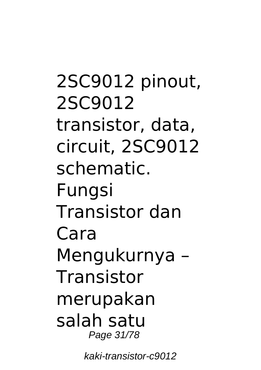2SC9012 pinout, 2SC9012 transistor, data, circuit, 2SC9012 schematic. Fungsi Transistor dan Cara Mengukurnya – **Transistor** merupakan salah satu Page 31/78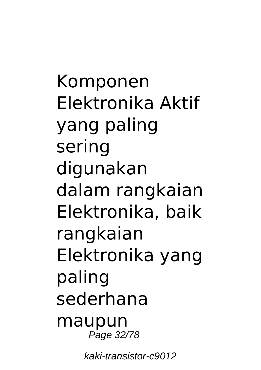Komponen Elektronika Aktif yang paling sering digunakan dalam rangkaian Elektronika, baik rangkaian Elektronika yang paling sederhana maupun Page 32/78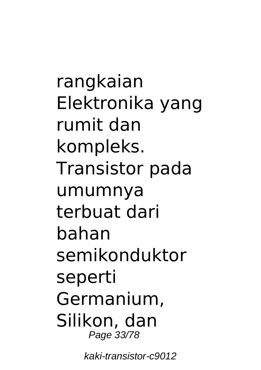rangkaian Elektronika yang rumit dan kompleks. Transistor pada umumnya terbuat dari bahan semikonduktor seperti Germanium, Silikon, dan Page 33/78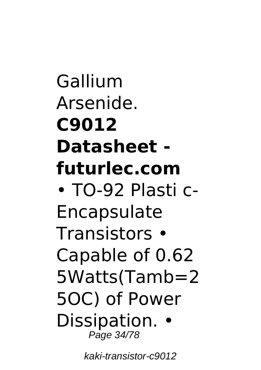Gallium Arsenide. **C9012 Datasheet futurlec.com** • TO-92 Plasti c-Encapsulate Transistors • Capable of 0.62 5Watts(Tamb=2 5OC) of Power Dissipation. • Page 34/78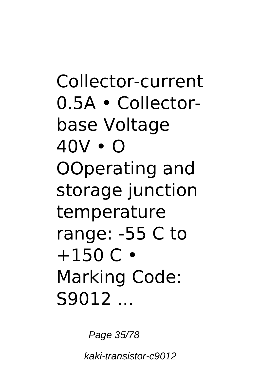Collector-current 0.5A • Collectorbase Voltage 40V • O OOperating and storage junction temperature range: -55 C to  $+150 C$ Marking Code: S9012 ...

Page 35/78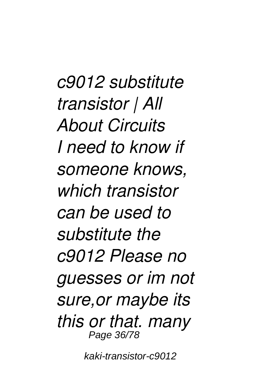*c9012 substitute transistor | All About Circuits I need to know if someone knows, which transistor can be used to substitute the c9012 Please no guesses or im not sure,or maybe its this or that. many* Page 36/78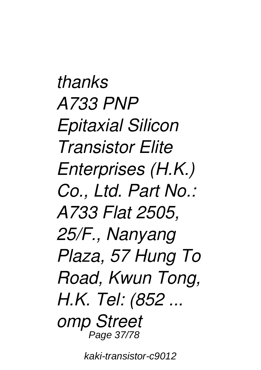*thanks A733 PNP Epitaxial Silicon Transistor Elite Enterprises (H.K.) Co., Ltd. Part No.: A733 Flat 2505, 25/F., Nanyang Plaza, 57 Hung To Road, Kwun Tong, H.K. Tel: (852 ... omp Street* Page 37/78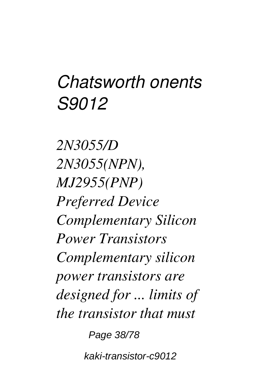# *Chatsworth onents S9012*

*2N3055/D 2N3055(NPN), MJ2955(PNP) Preferred Device Complementary Silicon Power Transistors Complementary silicon power transistors are designed for ... limits of the transistor that must*

Page 38/78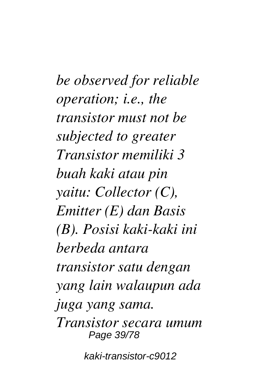*be observed for reliable operation; i.e., the transistor must not be subjected to greater Transistor memiliki 3 buah kaki atau pin yaitu: Collector (C), Emitter (E) dan Basis (B). Posisi kaki-kaki ini berbeda antara transistor satu dengan yang lain walaupun ada juga yang sama. Transistor secara umum* Page 39/78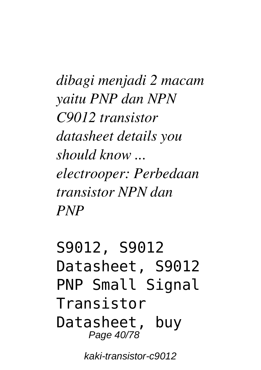*dibagi menjadi 2 macam yaitu PNP dan NPN C9012 transistor datasheet details you should know ... electrooper: Perbedaan transistor NPN dan PNP*

S9012, S9012 Datasheet, S9012 PNP Small Signal Transistor Datasheet, buy Page 40/78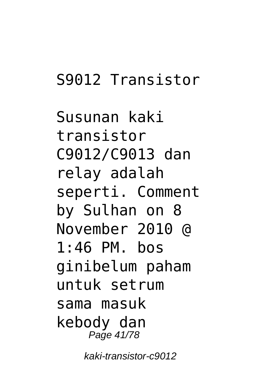### S9012 Transistor

Susunan kaki transistor C9012/C9013 dan relay adalah seperti. Comment by Sulhan on 8 November 2010 @ 1:46 PM. bos ginibelum paham untuk setrum sama masuk kebody dan Page 41/78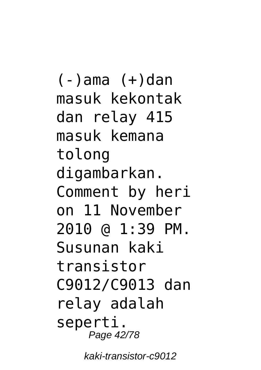(-)ama (+)dan masuk kekontak dan relay 415 masuk kemana tolong digambarkan. Comment by heri on 11 November 2010 @ 1:39 PM. Susunan kaki transistor C9012/C9013 dan relay adalah seperti. Page 42/78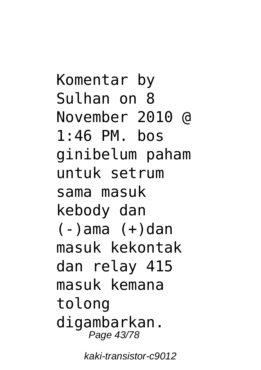Komentar by Sulhan on 8 November 2010 @ 1:46 PM. bos ginibelum paham untuk setrum sama masuk kebody dan (-)ama (+)dan masuk kekontak dan relay 415 masuk kemana tolong digambarkan. Page 43/78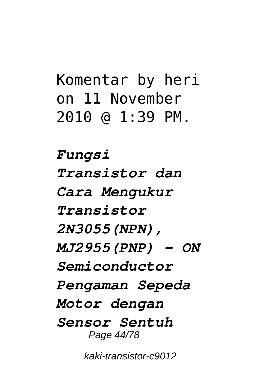## Komentar by heri on 11 November 2010 @ 1:39 PM.

*Fungsi Transistor dan Cara Mengukur Transistor 2N3055(NPN), MJ2955(PNP) - ON Semiconductor Pengaman Sepeda Motor dengan Sensor Sentuh* Page 44/78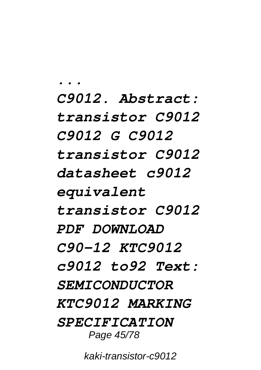*... C9012. Abstract: transistor C9012 C9012 G C9012 transistor C9012 datasheet c9012 equivalent transistor C9012 PDF DOWNLOAD C90-12 KTC9012 c9012 to92 Text: SEMICONDUCTOR KTC9012 MARKING SPECIFICATION* Page 45/78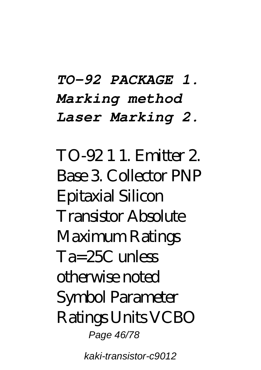## *TO-92 PACKAGE 1. Marking method Laser Marking 2.*

TO-92 1 1. Emitter 2. Base 3. Collector PNP Epitaxial Silicon Transistor Absolute Maximum Ratings  $Ta = 25C$  unless otherwise noted Symbol Parameter Ratings Units VCBO Page 46/78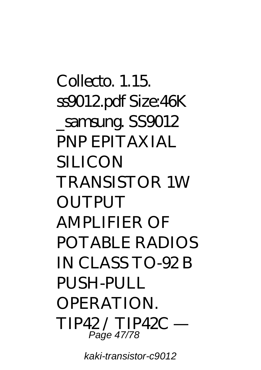Collecto. 1.15. ss9012.pdf Size:46K samsung. SS9012 PNP EPITAXIAL SILICON TRANSISTOR 1W **OUTPUT** AMPLIFIER OF POTABLE RADIOS IN CLASS TO-92 B PUSH-PULL OPERATION. TIP42 / TIP42C — Page 47/78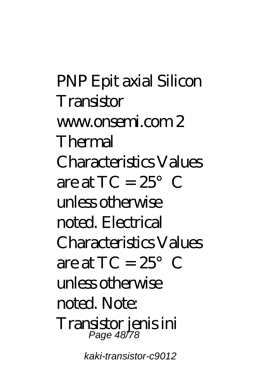PNP Epit axial Silicon **Transistor** www.onsemi.com 2 Thermal Characteristics Values are at  $TC = 25^\circ$  C unless otherwise noted. Electrical Characteristics Values are at  $TC = 25^\circ$  C unless otherwise noted. Note: Transistor jenis ini Page 48/78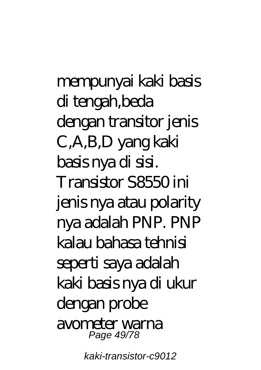mempunyai kaki basis di tengah,beda dengan transitor jenis C,A,B,D yang kaki basis nya di sisi. Transistor S8550 ini jenis nya atau polarity nya adalah PNP. PNP kalau bahasa tehnisi seperti saya adalah kaki basis nya di ukur dengan probe avometer warna Page 49/78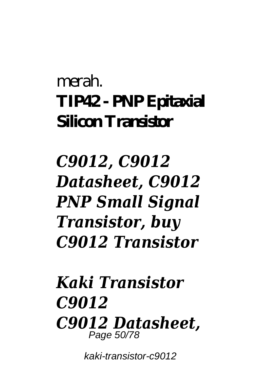# merah. **TIP42 - PNP Epitaxial Silicon Transistor**

# *C9012, C9012 Datasheet, C9012 PNP Small Signal Transistor, buy C9012 Transistor*

#### *Kaki Transistor C9012 C9012 Datasheet,* Page 50/78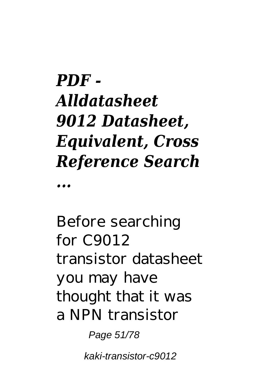# *PDF - Alldatasheet 9012 Datasheet, Equivalent, Cross Reference Search*

*...*

Before searching for C9012 transistor datasheet you may have thought that it was a NPN transistor

Page 51/78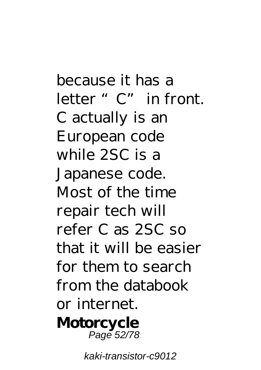because it has a letter "C" in front. C actually is an European code while 2SC is a Japanese code. Most of the time repair tech will refer C as 2SC so that it will be easier for them to search from the databook or internet. **Motorcycle** Page 52/78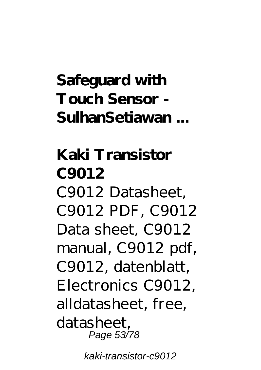## **Safeguard with Touch Sensor - SulhanSetiawan ...**

**Kaki Transistor C9012** C9012 Datasheet, C9012 PDF, C9012 Data sheet, C9012 manual, C9012 pdf, C9012, datenblatt, Electronics C9012, alldatasheet, free, datasheet, Page 53/78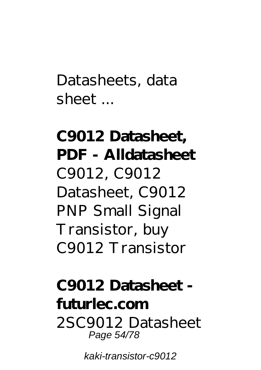Datasheets, data sheet ...

# **C9012 Datasheet, PDF - Alldatasheet** C9012, C9012 Datasheet, C9012 PNP Small Signal Transistor, buy C9012 Transistor

#### **C9012 Datasheet futurlec.com** 2SC9012 Datasheet Page 54/78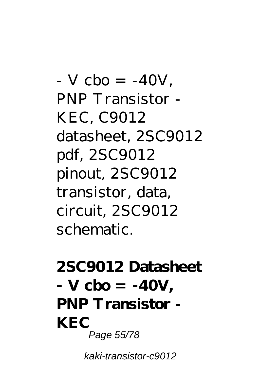$-V$  cbo =  $-40V$ . PNP Transistor - KEC, C9012 datasheet, 2SC9012 pdf, 2SC9012 pinout, 2SC9012 transistor, data, circuit, 2SC9012 schematic.

#### **2SC9012 Datasheet - V cbo = -40V, PNP Transistor - KEC** Page 55/78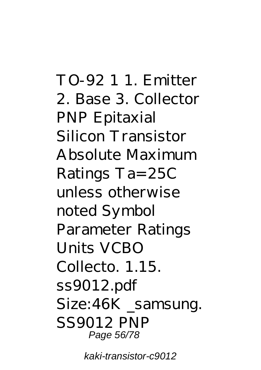TO-92 1 1. Emitter 2. Base 3. Collector PNP Epitaxial Silicon Transistor Absolute Maximum Ratings Ta=25C unless otherwise noted Symbol Parameter Ratings Units VCBO Collecto. 1.15. ss9012.pdf Size: 46K samsung. SS9012 PNP Page 56/78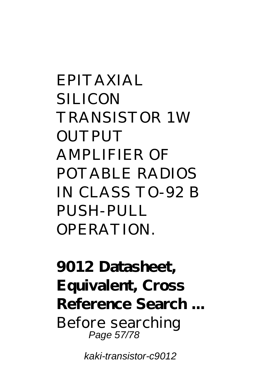EPITAXIAL SILICON TRANSISTOR 1W **OUTPUT** AMPLIFIER OF POTABLE RADIOS IN CLASS TO-92 B PUSH-PULL **OPERATION** 

**9012 Datasheet, Equivalent, Cross Reference Search ...** Before searching Page 57/78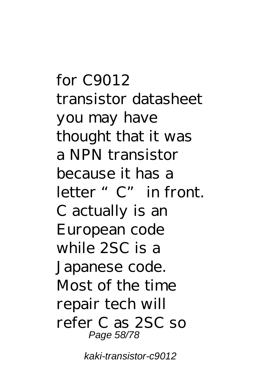for C9012 transistor datasheet you may have thought that it was a NPN transistor because it has a letter "C" in front. C actually is an European code while 2SC is a Japanese code. Most of the time repair tech will refer C as 2SC so Page 58/78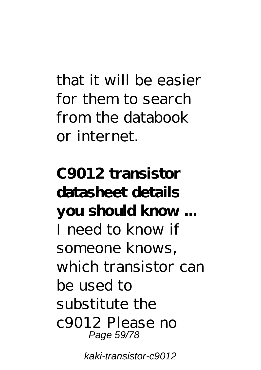that it will be easier for them to search from the databook or internet.

**C9012 transistor datasheet details you should know ...** I need to know if someone knows, which transistor can be used to substitute the c9012 Please no Page 59/78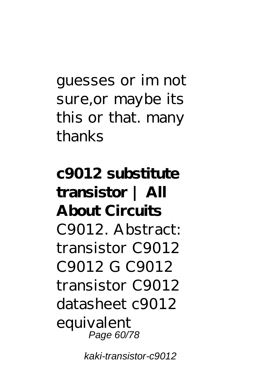guesses or im not sure,or maybe its this or that. many thanks

**c9012 substitute transistor | All About Circuits** C9012. Abstract: transistor C9012 C9012 G C9012 transistor C9012 datasheet c9012 equivalent Page 60/78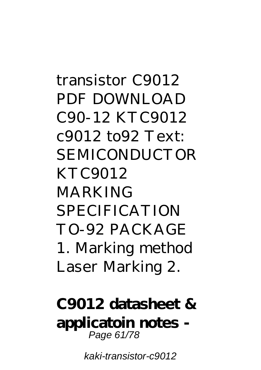transistor C9012 PDF DOWNLOAD C90-12 KTC9012 c9012 to92 Text: SEMICONDUCTOR KTC9012 **MARKING SPECIFICATION** TO-92 PACKAGE 1. Marking method Laser Marking 2.

**C9012 datasheet & applicatoin notes -** Page 61/78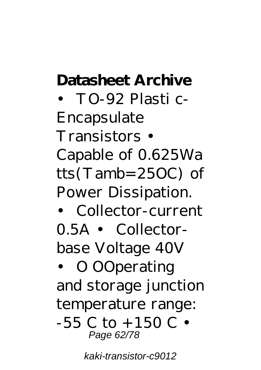#### **Datasheet Archive**

• TO-92 Plasti c-Encapsulate Transistors • Capable of 0.625Wa tts(Tamb=25OC) of Power Dissipation.

• Collector-current 0.5A • Collectorbase Voltage 40V

• O OOperating and storage junction temperature range:  $-55$  C to  $+150$  C  $\cdot$ Page 62/78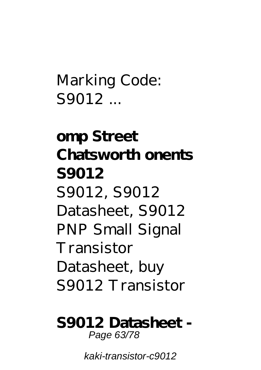Marking Code: S9012 ...

**omp Street Chatsworth onents S9012** S9012, S9012 Datasheet, S9012 PNP Small Signal Transistor Datasheet, buy S9012 Transistor

**S9012 Datasheet -** Page 63/78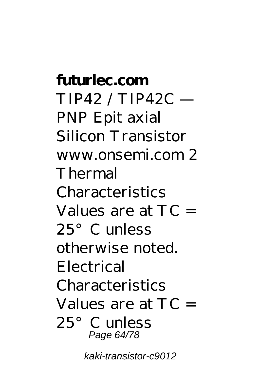**futurlec.com**  $TIP42/TIP42C =$ PNP Epit axial Silicon Transistor www.onsemi.com 2 Thermal Characteristics Values are at  $TC =$ 25°C unless otherwise noted. Electrical Characteristics Values are at  $TC =$ 25°C unless Page 64/78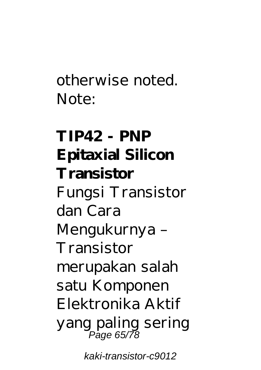otherwise noted. Note:

**TIP42 - PNP Epitaxial Silicon Transistor** Fungsi Transistor dan Cara Mengukurnya – Transistor merupakan salah satu Komponen Elektronika Aktif yang paling sering Page 65/78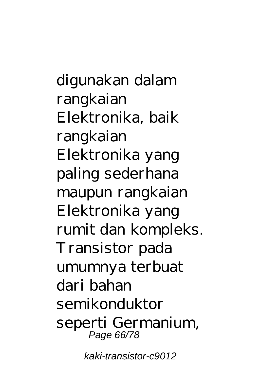digunakan dalam rangkaian Elektronika, baik rangkaian Elektronika yang paling sederhana maupun rangkaian Elektronika yang rumit dan kompleks. Transistor pada umumnya terbuat dari bahan semikonduktor seperti Germanium, Page 66/78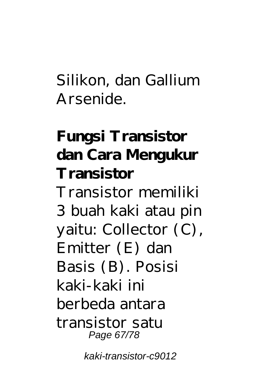Silikon, dan Gallium Arsenide.

# **Fungsi Transistor dan Cara Mengukur Transistor**

Transistor memiliki 3 buah kaki atau pin yaitu: Collector (C), Emitter (E) dan Basis (B). Posisi kaki-kaki ini berbeda antara transistor satu Page 67/78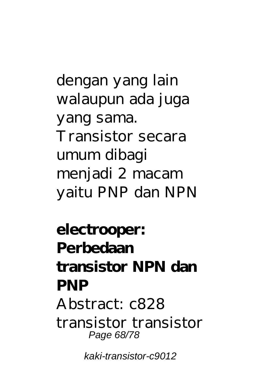dengan yang lain walaupun ada juga yang sama. Transistor secara umum dibagi menjadi 2 macam yaitu PNP dan NPN

**electrooper: Perbedaan transistor NPN dan PNP** Abstract: c828 transistor transistor Page 68/78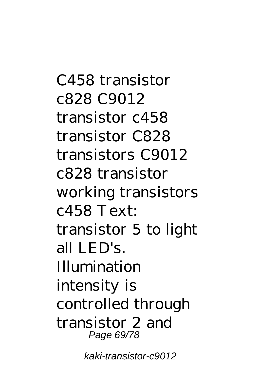C458 transistor c828 C9012 transistor c458 transistor C828 transistors C9012 c828 transistor working transistors  $c458$  Text: transistor 5 to light all LED's. Illumination intensity is controlled through transistor 2 and Page 69/78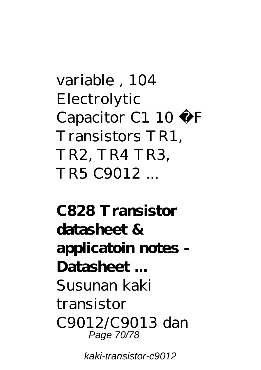variable , 104 Electrolytic Capacitor C1 10  $\mu$  F Transistors TR1, TR2, TR4 TR3, TR5 C9012 ...

**C828 Transistor datasheet & applicatoin notes - Datasheet ...** Susunan kaki transistor C9012/C9013 dan Page 70/78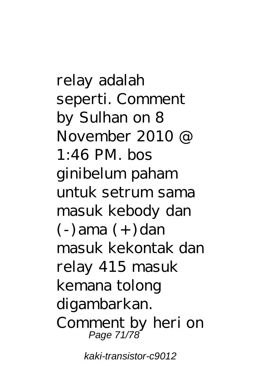relay adalah seperti. Comment by Sulhan on 8 November 2010 @  $1.46$  PM. bos ginibelum paham untuk setrum sama masuk kebody dan  $(-)$  ama  $(+)$  dan masuk kekontak dan relay 415 masuk kemana tolong digambarkan. Comment by heri on Page 71/78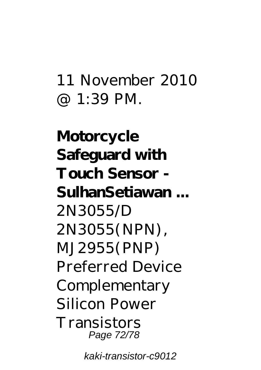### 11 November 2010 @ 1:39 PM.

**Motorcycle Safeguard with Touch Sensor - SulhanSetiawan ...** 2N3055/D 2N3055(NPN), MJ2955(PNP) Preferred Device Complementary Silicon Power **Transistors** Page 72/78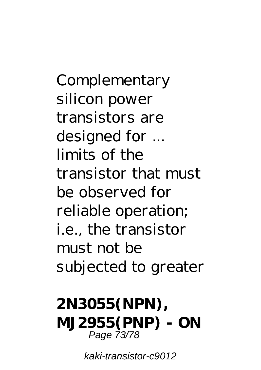Complementary silicon power transistors are designed for ... limits of the transistor that must be observed for reliable operation; i.e., the transistor must not be subjected to greater

## **2N3055(NPN), MJ2955(PNP) - ON** Page 73/78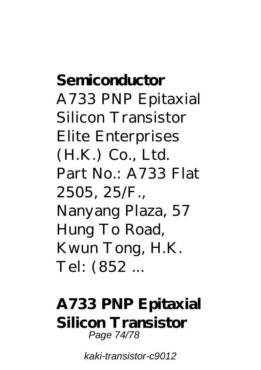**Semiconductor** A733 PNP Epitaxial Silicon Transistor Elite Enterprises (H.K.) Co., Ltd. Part No.: A733 Flat 2505, 25/F., Nanyang Plaza, 57 Hung To Road, Kwun Tong, H.K. Tel: (852 ...

## **A733 PNP Epitaxial Silicon Transistor** Page 74/78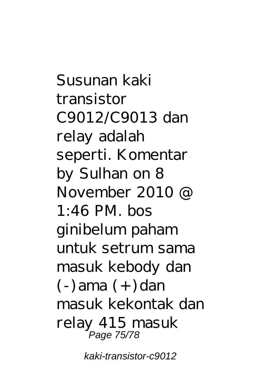Susunan kaki transistor C9012/C9013 dan relay adalah seperti. Komentar by Sulhan on 8 November 2010 @  $1.46$  PM bos ginibelum paham untuk setrum sama masuk kebody dan  $(-)$ ama  $(+)$ dan masuk kekontak dan relay 415 masuk Page 75/78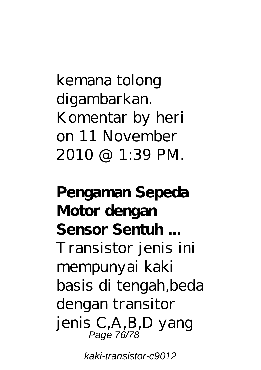kemana tolong digambarkan. Komentar by heri on 11 November 2010 @ 1:39 PM.

**Pengaman Sepeda Motor dengan Sensor Sentuh ...** Transistor jenis ini mempunyai kaki basis di tengah,beda dengan transitor jenis C,A,B,D yang Page 76/78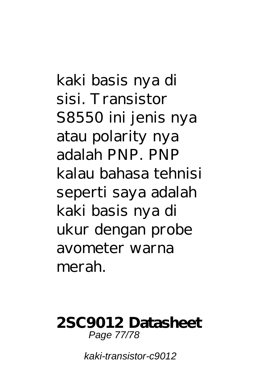kaki basis nya di sisi. Transistor S8550 ini jenis nya atau polarity nya adalah PNP. PNP kalau bahasa tehnisi seperti saya adalah kaki basis nya di ukur dengan probe avometer warna merah.

## **2SC9012 Datasheet** Page 77/78